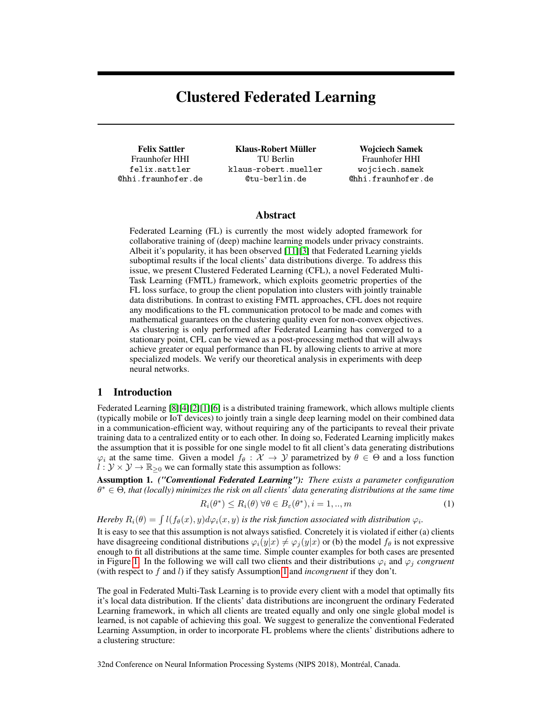# Clustered Federated Learning

Felix Sattler Fraunhofer HHI felix.sattler @hhi.fraunhofer.de

Klaus-Robert Müller TU Berlin klaus-robert.mueller @tu-berlin.de

Wojciech Samek Fraunhofer HHI wojciech.samek @hhi.fraunhofer.de

### Abstract

Federated Learning (FL) is currently the most widely adopted framework for collaborative training of (deep) machine learning models under privacy constraints. Albeit it's popularity, it has been observed [\[11\]](#page-4-0)[\[3\]](#page-4-1) that Federated Learning yields suboptimal results if the local clients' data distributions diverge. To address this issue, we present Clustered Federated Learning (CFL), a novel Federated Multi-Task Learning (FMTL) framework, which exploits geometric properties of the FL loss surface, to group the client population into clusters with jointly trainable data distributions. In contrast to existing FMTL approaches, CFL does not require any modifications to the FL communication protocol to be made and comes with mathematical guarantees on the clustering quality even for non-convex objectives. As clustering is only performed after Federated Learning has converged to a stationary point, CFL can be viewed as a post-processing method that will always achieve greater or equal performance than FL by allowing clients to arrive at more specialized models. We verify our theoretical analysis in experiments with deep neural networks.

# <span id="page-0-1"></span>1 Introduction

Federated Learning [\[8\]](#page-4-2)[\[4\]](#page-4-3)[\[2\]](#page-4-4)[\[1\]](#page-4-5)[\[6\]](#page-4-6) is a distributed training framework, which allows multiple clients (typically mobile or IoT devices) to jointly train a single deep learning model on their combined data in a communication-efficient way, without requiring any of the participants to reveal their private training data to a centralized entity or to each other. In doing so, Federated Learning implicitly makes the assumption that it is possible for one single model to fit all client's data generating distributions  $\varphi_i$  at the same time. Given a model  $f_\theta : \mathcal{X} \to \mathcal{Y}$  parametrized by  $\theta \in \Theta$  and a loss function  $l : \mathcal{Y} \times \mathcal{Y} \rightarrow \mathbb{R}_{\geq 0}$  we can formally state this assumption as follows:

<span id="page-0-0"></span>Assumption 1. *("Conventional Federated Learning"): There exists a parameter configuration* θ <sup>∗</sup> ∈ Θ*, that (locally) minimizes the risk on all clients' data generating distributions at the same time*

$$
R_i(\theta^*) \le R_i(\theta) \,\forall \theta \in B_{\varepsilon}(\theta^*), i = 1, ..., m \tag{1}
$$

*Hereby*  $R_i(\theta) = \int l(f_{\theta}(x), y) d\varphi_i(x, y)$  *is the risk function associated with distribution*  $\varphi_i$ *.* 

It is easy to see that this assumption is not always satisfied. Concretely it is violated if either (a) clients have disagreeing conditional distributions  $\varphi_i(y|x) \neq \varphi_i(y|x)$  or (b) the model  $f_\theta$  is not expressive enough to fit all distributions at the same time. Simple counter examples for both cases are presented in Figure [1.](#page-1-0) In the following we will call two clients and their distributions  $\varphi_i$  and  $\varphi_j$  *congruent* (with respect to f and l) if they satisfy Assumption [1](#page-0-0) and *incongruent* if they don't.

The goal in Federated Multi-Task Learning is to provide every client with a model that optimally fits it's local data distribution. If the clients' data distributions are incongruent the ordinary Federated Learning framework, in which all clients are treated equally and only one single global model is learned, is not capable of achieving this goal. We suggest to generalize the conventional Federated Learning Assumption, in order to incorporate FL problems where the clients' distributions adhere to a clustering structure:

32nd Conference on Neural Information Processing Systems (NIPS 2018), Montréal, Canada.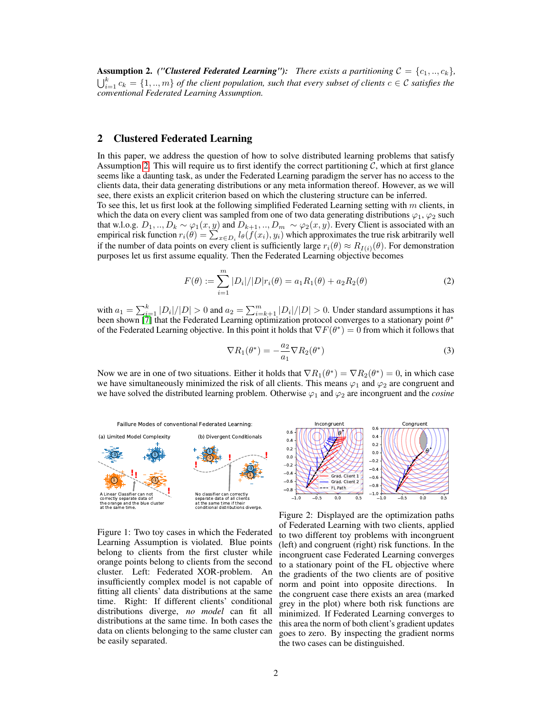<span id="page-1-1"></span>**Assumption 2.** *("Clustered Federated Learning"): There exists a partitioning*  $C = \{c_1, ..., c_k\}$ ,  $\bigcup_{i=1}^k c_k = \{1,..,m\}$  *of the client population, such that every subset of clients*  $c \in \mathcal{C}$  *satisfies the conventional Federated Learning Assumption.*

# 2 Clustered Federated Learning

In this paper, we address the question of how to solve distributed learning problems that satisfy Assumption [2.](#page-1-1) This will require us to first identify the correct partitioning  $\mathcal{C}$ , which at first glance seems like a daunting task, as under the Federated Learning paradigm the server has no access to the clients data, their data generating distributions or any meta information thereof. However, as we will see, there exists an explicit criterion based on which the clustering structure can be inferred.

To see this, let us first look at the following simplified Federated Learning setting with  $m$  clients, in which the data on every client was sampled from one of two data generating distributions  $\varphi_1, \varphi_2$  such that w.l.o.g.  $D_1, ..., D_k \sim \varphi_1(x, y)$  and  $D_{k+1}, ..., D_m \sim \varphi_2(x, y)$ . Every Client is associated with an empirical risk function  $r_i(\theta) = \sum_{x \in D_i} l_{\theta}(f(x_i), y_i)$  which approximates the true risk arbitrarily well if the number of data points on every client is sufficiently large  $r_i(\theta) \approx R_{I(i)}(\theta)$ . For demonstration purposes let us first assume equality. Then the Federated Learning objective becomes

$$
F(\theta) := \sum_{i=1}^{m} |D_i|/|D|r_i(\theta) = a_1 R_1(\theta) + a_2 R_2(\theta)
$$
 (2)

with  $a_1 = \sum_{i=1}^k |D_i|/|D| > 0$  and  $a_2 = \sum_{i=k+1}^m |D_i|/|D| > 0$ . Under standard assumptions it has been shown [\[7\]](#page-4-7) that the Federated Learning optimization protocol converges to a stationary point  $\theta^*$ of the Federated Learning objective. In this point it holds that  $\nabla F(\theta^*) = 0$  from which it follows that

$$
\nabla R_1(\theta^*) = -\frac{a_2}{a_1} \nabla R_2(\theta^*)
$$
\n(3)

Now we are in one of two situations. Either it holds that  $\nabla R_1(\theta^*) = \nabla R_2(\theta^*) = 0$ , in which case we have simultaneously minimized the risk of all clients. This means  $\varphi_1$  and  $\varphi_2$  are congruent and we have solved the distributed learning problem. Otherwise  $\varphi_1$  and  $\varphi_2$  are incongruent and the *cosine* 

<span id="page-1-0"></span>

Figure 1: Two toy cases in which the Federated Learning Assumption is violated. Blue points belong to clients from the first cluster while orange points belong to clients from the second cluster. Left: Federated XOR-problem. An insufficiently complex model is not capable of fitting all clients' data distributions at the same time. Right: If different clients' conditional distributions diverge, *no model* can fit all distributions at the same time. In both cases the data on clients belonging to the same cluster can be easily separated.



Figure 2: Displayed are the optimization paths of Federated Learning with two clients, applied to two different toy problems with incongruent (left) and congruent (right) risk functions. In the incongruent case Federated Learning converges to a stationary point of the FL objective where the gradients of the two clients are of positive norm and point into opposite directions. In the congruent case there exists an area (marked grey in the plot) where both risk functions are minimized. If Federated Learning converges to this area the norm of both client's gradient updates goes to zero. By inspecting the gradient norms the two cases can be distinguished.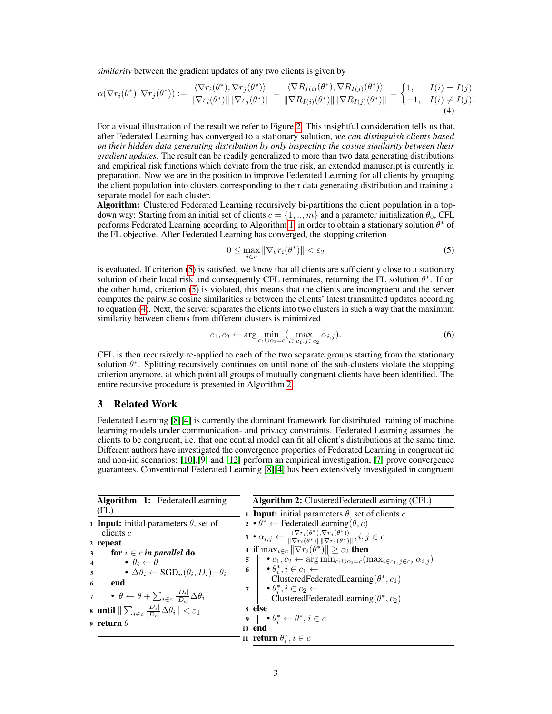*similarity* between the gradient updates of any two clients is given by

$$
\alpha(\nabla r_i(\theta^*), \nabla r_j(\theta^*)) := \frac{\langle \nabla r_i(\theta^*), \nabla r_j(\theta^*) \rangle}{\|\nabla r_i(\theta^*)\| \|\nabla r_j(\theta^*)\|} = \frac{\langle \nabla R_{I(i)}(\theta^*), \nabla R_{I(j)}(\theta^*) \rangle}{\|\nabla R_{I(i)}(\theta^*)\| \|\nabla R_{I(j)}(\theta^*)\|} = \begin{cases} 1, & I(i) = I(j) \\ -1, & I(i) \neq I(j). \end{cases} \tag{4}
$$

For a visual illustration of the result we refer to Figure [2.](#page-1-0) This insightful consideration tells us that, after Federated Learning has converged to a stationary solution, *we can distinguish clients based on their hidden data generating distribution by only inspecting the cosine similarity between their gradient updates*. The result can be readily generalized to more than two data generating distributions and empirical risk functions which deviate from the true risk, an extended manuscript is currently in preparation. Now we are in the position to improve Federated Learning for all clients by grouping the client population into clusters corresponding to their data generating distribution and training a separate model for each cluster.

Algorithm: Clustered Federated Learning recursively bi-partitions the client population in a topdown way: Starting from an initial set of clients  $c = \{1, ..., m\}$  and a parameter initialization  $\theta_0$ , CFL performs Federated Learning according to Algorithm [1,](#page-2-0) in order to obtain a stationary solution  $\theta^*$  of the FL objective. After Federated Learning has converged, the stopping criterion

<span id="page-2-4"></span><span id="page-2-2"></span><span id="page-2-1"></span>
$$
0 \le \max_{i \in c} \|\nabla_{\theta} r_i(\theta^*)\| < \varepsilon_2 \tag{5}
$$

is evaluated. If criterion [\(5\)](#page-2-1) is satisfied, we know that all clients are sufficiently close to a stationary solution of their local risk and consequently CFL terminates, returning the FL solution  $\theta^*$ . If on the other hand, criterion [\(5\)](#page-2-1) is violated, this means that the clients are incongruent and the server computes the pairwise cosine similarities  $\alpha$  between the clients' latest transmitted updates according to equation [\(4\)](#page-2-2). Next, the server separates the clients into two clusters in such a way that the maximum similarity between clients from different clusters is minimized

$$
c_1, c_2 \leftarrow \arg\min_{c_1 \cup c_2 = c} (\max_{i \in c_1, j \in c_2} \alpha_{i,j}).
$$
\n
$$
(6)
$$

CFL is then recursively re-applied to each of the two separate groups starting from the stationary solution  $\theta^*$ . Splitting recursively continues on until none of the sub-clusters violate the stopping criterion anymore, at which point all groups of mutually congruent clients have been identified. The entire recursive procedure is presented in Algorithm [2.](#page-2-3)

#### 3 Related Work

Federated Learning [\[8\]](#page-4-2)[\[4\]](#page-4-3) is currently the dominant framework for distributed training of machine learning models under communication- and privacy constraints. Federated Learning assumes the clients to be congruent, i.e. that one central model can fit all client's distributions at the same time. Different authors have investigated the convergence properties of Federated Learning in congruent iid and non-iid scenarios: [\[10\]](#page-4-8),[\[9\]](#page-4-9) and [\[12\]](#page-4-10) perform an empirical investigation, [\[7\]](#page-4-7) prove convergence guarantees. Conventional Federated Learning [\[8\]](#page-4-2)[\[4\]](#page-4-3) has been extensively investigated in congruent

<span id="page-2-3"></span><span id="page-2-0"></span>

| <b>Algorithm 1:</b> Federated Learning                                                                                                                                                                                                                                                                                                                                                                                       | <b>Algorithm 2:</b> ClusteredFederatedLearning (CFL)                                                                                                                         |
|------------------------------------------------------------------------------------------------------------------------------------------------------------------------------------------------------------------------------------------------------------------------------------------------------------------------------------------------------------------------------------------------------------------------------|------------------------------------------------------------------------------------------------------------------------------------------------------------------------------|
| (FL)                                                                                                                                                                                                                                                                                                                                                                                                                         | <b>1 Input:</b> initial parameters $\theta$ , set of clients c                                                                                                               |
| <b>1 Input:</b> initial parameters $\theta$ , set of                                                                                                                                                                                                                                                                                                                                                                         | $\mathbf{2} \cdot \theta^* \leftarrow \text{FederatedLearning}(\theta, c)$                                                                                                   |
| clients $c$<br>2 repeat                                                                                                                                                                                                                                                                                                                                                                                                      | $3 \bullet \alpha_{i,j} \leftarrow \frac{\langle \nabla r_i(\theta^*), \nabla r_j(\theta^*) \rangle}{\ \nabla r_i(\theta^*)\  \ \nabla r_i(\theta^*)\ }, i,j \in \mathbb{C}$ |
| for $i \in c$ in parallel do<br>$3^{\circ}$                                                                                                                                                                                                                                                                                                                                                                                  | 4 if $\max_{i \in c}   \nabla r_i(\theta^*)   \geq \varepsilon_2$ then                                                                                                       |
|                                                                                                                                                                                                                                                                                                                                                                                                                              | 5 $\mathbf{e}_1, c_2 \leftarrow \arg \min_{c_1 \cup c_2 = c} (\max_{i \in c_1, j \in c_2} \alpha_{i,j})$<br>6 $\mathbf{e}_i^*, i \in c_1 \leftarrow$                         |
| $\begin{array}{c c} \mathbf{4} & \mathbf{4} & \mathbf{4} & \mathbf{4} & \mathbf{4} & \mathbf{4} & \mathbf{4} & \mathbf{4} & \mathbf{4} & \mathbf{4} & \mathbf{4} & \mathbf{4} & \mathbf{4} & \mathbf{4} & \mathbf{4} & \mathbf{4} & \mathbf{4} & \mathbf{4} & \mathbf{4} & \mathbf{4} & \mathbf{4} & \mathbf{4} & \mathbf{4} & \mathbf{4} & \mathbf{4} & \mathbf{4} & \mathbf{4} & \mathbf{4} & \mathbf{4} & \mathbf{4} & \$ |                                                                                                                                                                              |
| 6<br>end                                                                                                                                                                                                                                                                                                                                                                                                                     | ClusteredFederatedLearning( $\theta^*, c_1$ )                                                                                                                                |
| $\tau \mid \cdot \theta \leftarrow \theta + \sum_{i \in c} \frac{ D_i }{ D_c } \Delta \theta_i$                                                                                                                                                                                                                                                                                                                              | 7 $\cdot \theta_i^*, i \in c_2$                                                                                                                                              |
|                                                                                                                                                                                                                                                                                                                                                                                                                              | ClusteredFederatedLearning( $\theta^*$ , $c_2$ )                                                                                                                             |
| <b>8</b> until $\ \sum_{i \in c} \frac{ D_i }{ D_i } \Delta \theta_i \  < \varepsilon_1$                                                                                                                                                                                                                                                                                                                                     | 8 else                                                                                                                                                                       |
| 9  return $\theta$                                                                                                                                                                                                                                                                                                                                                                                                           | $\theta \mid \cdot \theta_i^* \leftarrow \theta^*, i \in \mathcal{C}$                                                                                                        |
|                                                                                                                                                                                                                                                                                                                                                                                                                              | 10 end                                                                                                                                                                       |
|                                                                                                                                                                                                                                                                                                                                                                                                                              | 11 <b>return</b> $\theta_i^*, i \in c$                                                                                                                                       |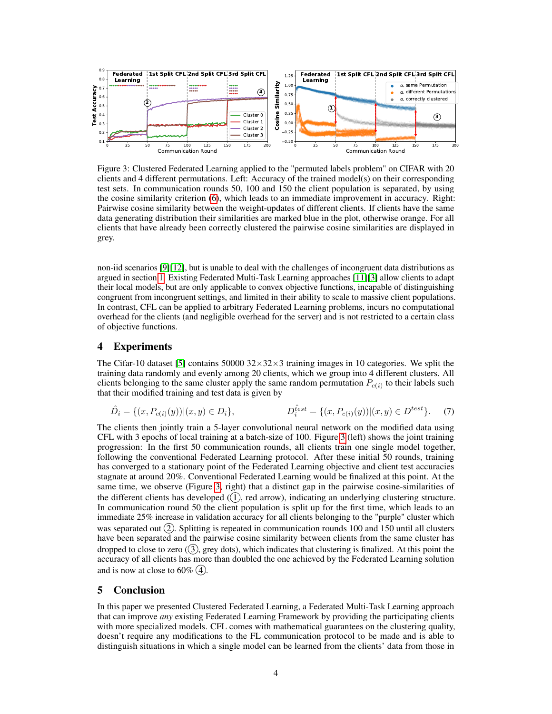<span id="page-3-0"></span>

Figure 3: Clustered Federated Learning applied to the "permuted labels problem" on CIFAR with 20 clients and 4 different permutations. Left: Accuracy of the trained model(s) on their corresponding test sets. In communication rounds 50, 100 and 150 the client population is separated, by using the cosine similarity criterion [\(6\)](#page-2-4), which leads to an immediate improvement in accuracy. Right: Pairwise cosine similarity between the weight-updates of different clients. If clients have the same data generating distribution their similarities are marked blue in the plot, otherwise orange. For all clients that have already been correctly clustered the pairwise cosine similarities are displayed in grey.

non-iid scenarios [\[9\]](#page-4-9)[\[12\]](#page-4-10), but is unable to deal with the challenges of incongruent data distributions as argued in section [1.](#page-0-1) Existing Federated Multi-Task Learning approaches [\[11\]](#page-4-0)[\[3\]](#page-4-1) allow clients to adapt their local models, but are only applicable to convex objective functions, incapable of distinguishing congruent from incongruent settings, and limited in their ability to scale to massive client populations. In contrast, CFL can be applied to arbitrary Federated Learning problems, incurs no computational overhead for the clients (and negligible overhead for the server) and is not restricted to a certain class of objective functions.

## 4 Experiments

The Cifar-10 dataset [\[5\]](#page-4-11) contains 50000  $32\times32\times3$  training images in 10 categories. We split the training data randomly and evenly among 20 clients, which we group into 4 different clusters. All clients belonging to the same cluster apply the same random permutation  $P_{c(i)}$  to their labels such that their modified training and test data is given by

$$
\hat{D}_i = \{ (x, P_{c(i)}(y)) | (x, y) \in D_i \}, \qquad D_i^{\hat{t}est} = \{ (x, P_{c(i)}(y)) | (x, y) \in D^{test} \}. \tag{7}
$$

The clients then jointly train a 5-layer convolutional neural network on the modified data using CFL with 3 epochs of local training at a batch-size of 100. Figure [3](#page-3-0) (left) shows the joint training progression: In the first 50 communication rounds, all clients train one single model together, following the conventional Federated Learning protocol. After these initial 50 rounds, training has converged to a stationary point of the Federated Learning objective and client test accuracies stagnate at around 20%. Conventional Federated Learning would be finalized at this point. At the same time, we observe (Figure [3,](#page-3-0) right) that a distinct gap in the pairwise cosine-similarities of the different clients has developed  $(1)$ , red arrow), indicating an underlying clustering structure. In communication round 50 the client population is split up for the first time, which leads to an immediate 25% increase in validation accuracy for all clients belonging to the "purple" cluster which was separated out  $(2)$ . Splitting is repeated in communication rounds 100 and 150 until all clusters have been separated and the pairwise cosine similarity between clients from the same cluster has dropped to close to zero  $(3)$ , grey dots), which indicates that clustering is finalized. At this point the accuracy of all clients has more than doubled the one achieved by the Federated Learning solution and is now at close to  $60\%$  (4).

## 5 Conclusion

In this paper we presented Clustered Federated Learning, a Federated Multi-Task Learning approach that can improve *any* existing Federated Learning Framework by providing the participating clients with more specialized models. CFL comes with mathematical guarantees on the clustering quality, doesn't require any modifications to the FL communication protocol to be made and is able to distinguish situations in which a single model can be learned from the clients' data from those in